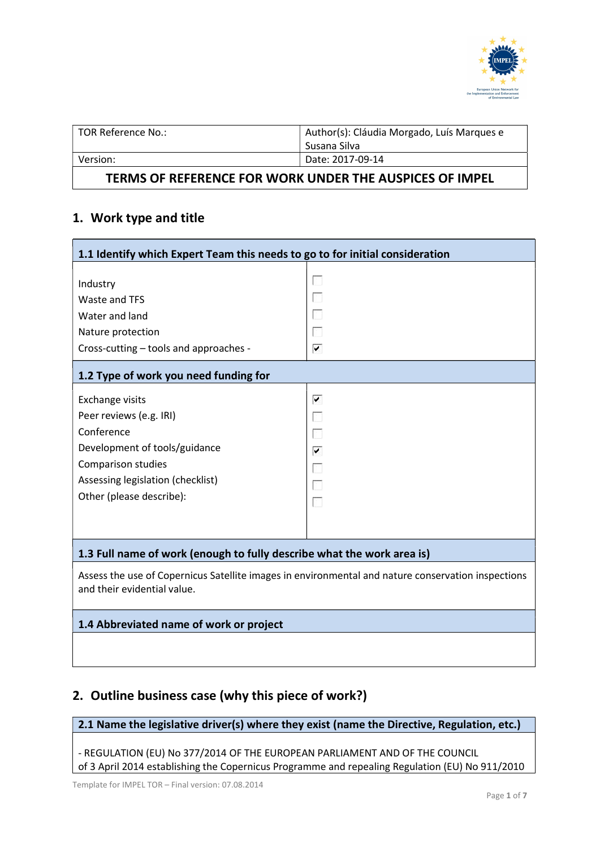

| TOR Reference No.: | Author(s): Cláudia Morgado, Luís Marques e |
|--------------------|--------------------------------------------|
|                    | Susana Silva                               |
| Version:           | Date: 2017-09-14                           |
|                    |                                            |

### TERMS OF REFERENCE FOR WORK UNDER THE AUSPICES OF IMPEL

# 1. Work type and title

| 1.1 Identify which Expert Team this needs to go to for initial consideration                                                                                                            |                                                  |  |
|-----------------------------------------------------------------------------------------------------------------------------------------------------------------------------------------|--------------------------------------------------|--|
| Industry<br>Waste and TFS<br>Water and land<br>Nature protection<br>Cross-cutting - tools and approaches -<br>1.2 Type of work you need funding for                                     | r.<br>Г<br>П<br>Г<br>⊽                           |  |
| <b>Exchange visits</b><br>Peer reviews (e.g. IRI)<br>Conference<br>Development of tools/guidance<br>Comparison studies<br>Assessing legislation (checklist)<br>Other (please describe): | ▼<br>r.<br>$\blacktriangledown$<br>l.<br>r.<br>Г |  |
| 1.3 Full name of work (enough to fully describe what the work area is)                                                                                                                  |                                                  |  |

Assess the use of Copernicus Satellite images in environmental and nature conservation inspections and their evidential value.

#### 1.4 Abbreviated name of work or project

## 2. Outline business case (why this piece of work?)

2.1 Name the legislative driver(s) where they exist (name the Directive, Regulation, etc.)

- REGULATION (EU) No 377/2014 OF THE EUROPEAN PARLIAMENT AND OF THE COUNCIL of 3 April 2014 establishing the Copernicus Programme and repealing Regulation (EU) No 911/2010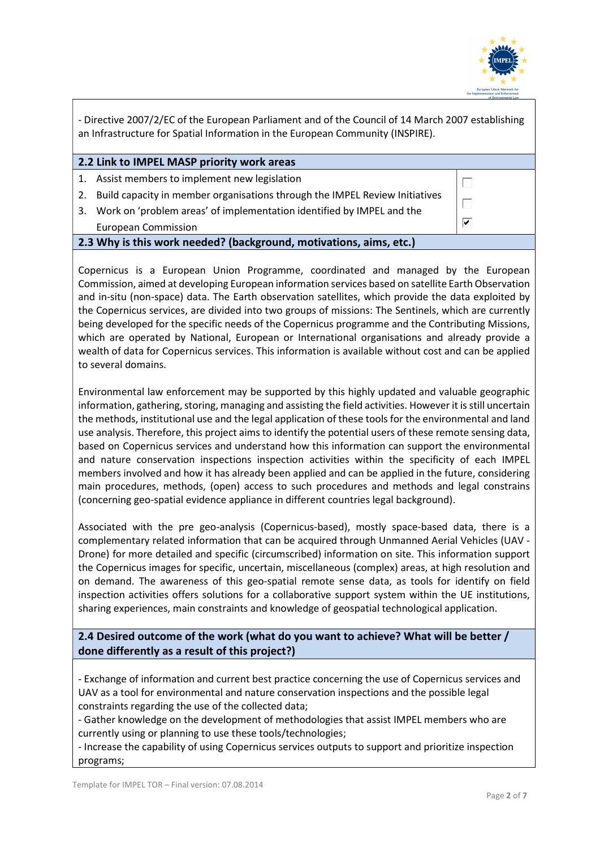

| - Directive 2007/2/EC of the European Parliament and of the Council of 14 March 2007 establishing<br>an Infrastructure for Spatial Information in the European Community (INSPIRE). |                                                                             |                      |
|-------------------------------------------------------------------------------------------------------------------------------------------------------------------------------------|-----------------------------------------------------------------------------|----------------------|
|                                                                                                                                                                                     | 2.2 Link to IMPEL MASP priority work areas                                  |                      |
| 1.                                                                                                                                                                                  | Assist members to implement new legislation                                 | n                    |
| 2.                                                                                                                                                                                  | Build capacity in member organisations through the IMPEL Review Initiatives |                      |
| 3.                                                                                                                                                                                  | Work on 'problem areas' of implementation identified by IMPEL and the       |                      |
|                                                                                                                                                                                     | <b>European Commission</b>                                                  | $\blacktriangledown$ |
| 2.3 Why is this work needed? (background, motivations, aims, etc.)                                                                                                                  |                                                                             |                      |
|                                                                                                                                                                                     |                                                                             |                      |

Copernicus is a European Union Programme, coordinated and managed by the European Commission, aimed at developing European information services based on satellite Earth Observation and in-situ (non-space) data. The Earth observation satellites, which provide the data exploited by the Copernicus services, are divided into two groups of missions: The Sentinels, which are currently being developed for the specific needs of the Copernicus programme and the Contributing Missions, which are operated by National, European or International organisations and already provide a wealth of data for Copernicus services. This information is available without cost and can be applied to several domains.

Environmental law enforcement may be supported by this highly updated and valuable geographic information, gathering, storing, managing and assisting the field activities. However it is still uncertain the methods, institutional use and the legal application of these tools for the environmental and land use analysis. Therefore, this project aims to identify the potential users of these remote sensing data, based on Copernicus services and understand how this information can support the environmental and nature conservation inspections inspection activities within the specificity of each IMPEL members involved and how it has already been applied and can be applied in the future, considering main procedures, methods, (open) access to such procedures and methods and legal constrains (concerning geo-spatial evidence appliance in different countries legal background).

Associated with the pre geo-analysis (Copernicus-based), mostly space-based data, there is a complementary related information that can be acquired through Unmanned Aerial Vehicles (UAV - Drone) for more detailed and specific (circumscribed) information on site. This information support the Copernicus images for specific, uncertain, miscellaneous (complex) areas, at high resolution and on demand. The awareness of this geo-spatial remote sense data, as tools for identify on field inspection activities offers solutions for a collaborative support system within the UE institutions, sharing experiences, main constraints and knowledge of geospatial technological application.

2.4 Desired outcome of the work (what do you want to achieve? What will be better / done differently as a result of this project?)

- Exchange of information and current best practice concerning the use of Copernicus services and UAV as a tool for environmental and nature conservation inspections and the possible legal constraints regarding the use of the collected data;

- Gather knowledge on the development of methodologies that assist IMPEL members who are currently using or planning to use these tools/technologies;

- Increase the capability of using Copernicus services outputs to support and prioritize inspection programs;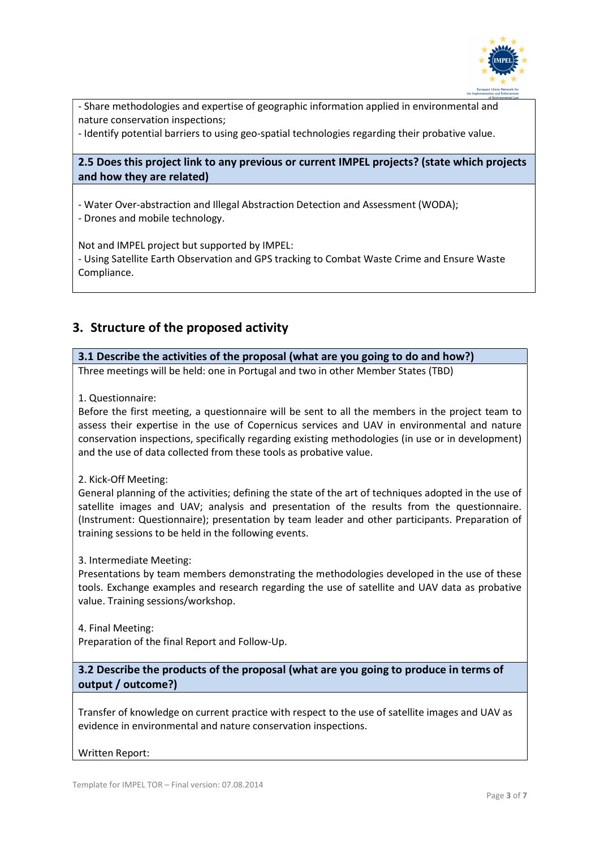

- Share methodologies and expertise of geographic information applied in environmental and nature conservation inspections;

- Identify potential barriers to using geo-spatial technologies regarding their probative value.

2.5 Does this project link to any previous or current IMPEL projects? (state which projects and how they are related)

- Water Over-abstraction and Illegal Abstraction Detection and Assessment (WODA);

- Drones and mobile technology.

Not and IMPEL project but supported by IMPEL: - Using Satellite Earth Observation and GPS tracking to Combat Waste Crime and Ensure Waste Compliance.

## 3. Structure of the proposed activity

#### 3.1 Describe the activities of the proposal (what are you going to do and how?)

Three meetings will be held: one in Portugal and two in other Member States (TBD)

1. Questionnaire:

Before the first meeting, a questionnaire will be sent to all the members in the project team to assess their expertise in the use of Copernicus services and UAV in environmental and nature conservation inspections, specifically regarding existing methodologies (in use or in development) and the use of data collected from these tools as probative value.

2. Kick-Off Meeting:

General planning of the activities; defining the state of the art of techniques adopted in the use of satellite images and UAV; analysis and presentation of the results from the questionnaire. (Instrument: Questionnaire); presentation by team leader and other participants. Preparation of training sessions to be held in the following events.

3. Intermediate Meeting:

Presentations by team members demonstrating the methodologies developed in the use of these tools. Exchange examples and research regarding the use of satellite and UAV data as probative value. Training sessions/workshop.

4. Final Meeting:

Preparation of the final Report and Follow-Up.

### 3.2 Describe the products of the proposal (what are you going to produce in terms of output / outcome?)

Transfer of knowledge on current practice with respect to the use of satellite images and UAV as evidence in environmental and nature conservation inspections.

Written Report: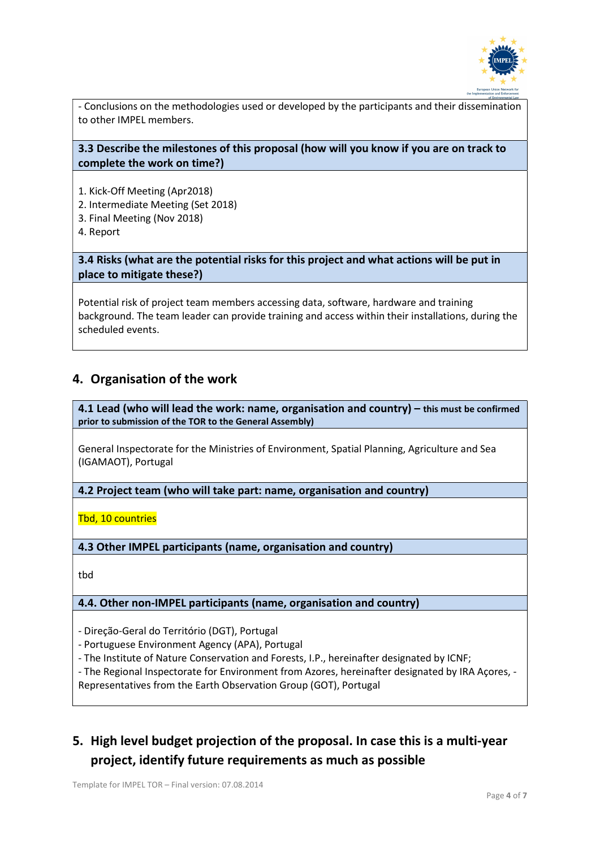

- Conclusions on the methodologies used or developed by the participants and their dissemination to other IMPEL members.

#### 3.3 Describe the milestones of this proposal (how will you know if you are on track to complete the work on time?)

- 1. Kick-Off Meeting (Apr2018)
- 2. Intermediate Meeting (Set 2018)
- 3. Final Meeting (Nov 2018)
- 4. Report

3.4 Risks (what are the potential risks for this project and what actions will be put in place to mitigate these?)

Potential risk of project team members accessing data, software, hardware and training background. The team leader can provide training and access within their installations, during the scheduled events.

## 4. Organisation of the work

4.1 Lead (who will lead the work: name, organisation and country) – this must be confirmed prior to submission of the TOR to the General Assembly)

General Inspectorate for the Ministries of Environment, Spatial Planning, Agriculture and Sea (IGAMAOT), Portugal

4.2 Project team (who will take part: name, organisation and country)

Tbd, 10 countries

4.3 Other IMPEL participants (name, organisation and country)

tbd

#### 4.4. Other non-IMPEL participants (name, organisation and country)

- Direção-Geral do Território (DGT), Portugal

- Portuguese Environment Agency (APA), Portugal
- The Institute of Nature Conservation and Forests, I.P., hereinafter designated by ICNF;

- The Regional Inspectorate for Environment from Azores, hereinafter designated by IRA Açores, - Representatives from the Earth Observation Group (GOT), Portugal

## 5. High level budget projection of the proposal. In case this is a multi-year project, identify future requirements as much as possible

Template for IMPEL TOR – Final version: 07.08.2014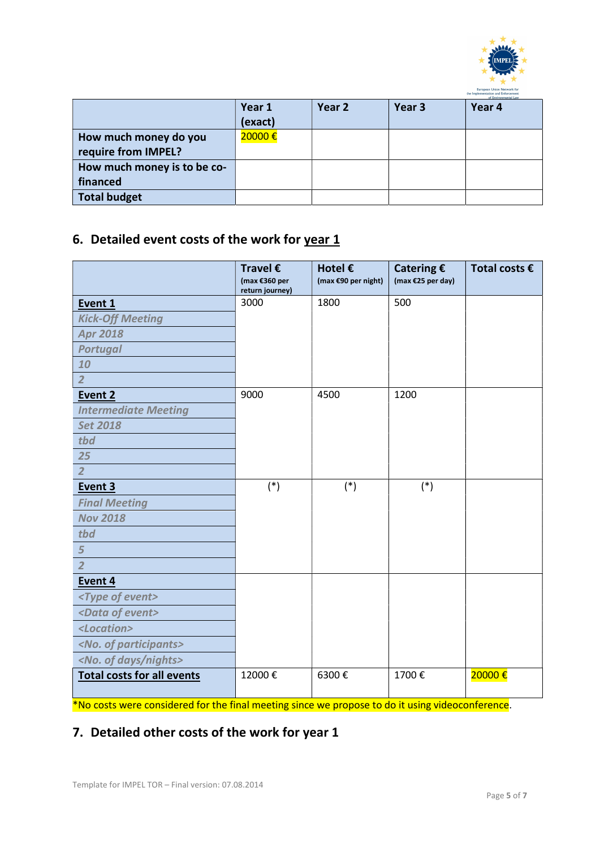

|                             | Year 1  | Year 2 | Year <sub>3</sub> | of Environmental Law<br>Year 4 |
|-----------------------------|---------|--------|-------------------|--------------------------------|
|                             | (exact) |        |                   |                                |
| How much money do you       | 20000€  |        |                   |                                |
| require from IMPEL?         |         |        |                   |                                |
| How much money is to be co- |         |        |                   |                                |
| financed                    |         |        |                   |                                |
| <b>Total budget</b>         |         |        |                   |                                |

# 6. Detailed event costs of the work for  $year 1$ </u>

|                                     | Travel $\epsilon$<br>(max €360 per<br>return journey) | Hotel €<br>(max €90 per night) | Catering $\epsilon$<br>(max €25 per day) | Total costs $\epsilon$ |
|-------------------------------------|-------------------------------------------------------|--------------------------------|------------------------------------------|------------------------|
| Event 1                             | 3000                                                  | 1800                           | 500                                      |                        |
| <b>Kick-Off Meeting</b>             |                                                       |                                |                                          |                        |
| <b>Apr 2018</b>                     |                                                       |                                |                                          |                        |
| <b>Portugal</b>                     |                                                       |                                |                                          |                        |
| 10                                  |                                                       |                                |                                          |                        |
| $\overline{2}$                      |                                                       |                                |                                          |                        |
| Event 2                             | 9000                                                  | 4500                           | 1200                                     |                        |
| <b>Intermediate Meeting</b>         |                                                       |                                |                                          |                        |
| <b>Set 2018</b>                     |                                                       |                                |                                          |                        |
| tbd                                 |                                                       |                                |                                          |                        |
| 25                                  |                                                       |                                |                                          |                        |
| $\overline{2}$                      |                                                       |                                |                                          |                        |
| Event 3                             | $(*)$                                                 | $(*)$                          | $(*)$                                    |                        |
| <b>Final Meeting</b>                |                                                       |                                |                                          |                        |
| <b>Nov 2018</b>                     |                                                       |                                |                                          |                        |
| tbd                                 |                                                       |                                |                                          |                        |
| 5                                   |                                                       |                                |                                          |                        |
| $\overline{2}$                      |                                                       |                                |                                          |                        |
| Event 4                             |                                                       |                                |                                          |                        |
| <type event="" of=""></type>        |                                                       |                                |                                          |                        |
| <data event="" of=""></data>        |                                                       |                                |                                          |                        |
| <location></location>               |                                                       |                                |                                          |                        |
| <no. of="" participants=""></no.>   |                                                       |                                |                                          |                        |
| <no. days="" nights="" of=""></no.> |                                                       |                                |                                          |                        |
| <b>Total costs for all events</b>   | 12000€                                                | 6300€                          | 1700€                                    | 20000€                 |

\*No costs were considered for the final meeting since we propose to do it using videoconference.

## 7. Detailed other costs of the work for year 1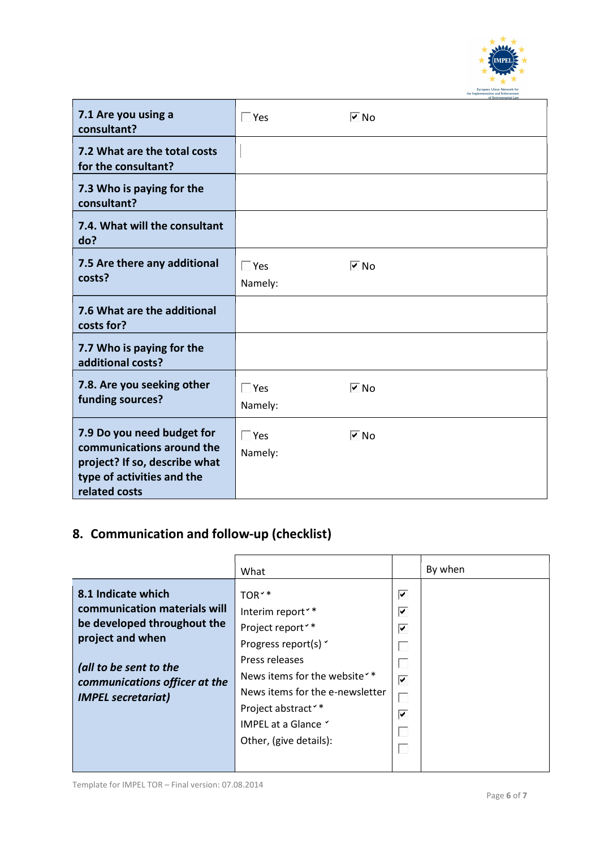

| 7.1 Are you using a<br>consultant?                                                                                                      | $\Box$ Yes            | $\sqrt{2}$ No      |
|-----------------------------------------------------------------------------------------------------------------------------------------|-----------------------|--------------------|
| 7.2 What are the total costs<br>for the consultant?                                                                                     |                       |                    |
| 7.3 Who is paying for the<br>consultant?                                                                                                |                       |                    |
| 7.4. What will the consultant<br>do?                                                                                                    |                       |                    |
| 7.5 Are there any additional<br>costs?                                                                                                  | $\Box$ Yes<br>Namely: | $\triangledown$ No |
| 7.6 What are the additional<br>costs for?                                                                                               |                       |                    |
| 7.7 Who is paying for the<br>additional costs?                                                                                          |                       |                    |
| 7.8. Are you seeking other<br>funding sources?                                                                                          | $\Box$ Yes<br>Namely: | $\sqrt{2}$ No      |
| 7.9 Do you need budget for<br>communications around the<br>project? If so, describe what<br>type of activities and the<br>related costs | $\Box$ Yes<br>Namely: | $\sqrt{2}$ No      |

# 8. Communication and follow-up (checklist)

|                                                                                                                                                                                               | What                                                                                                                                                                     |                                                        | By when |
|-----------------------------------------------------------------------------------------------------------------------------------------------------------------------------------------------|--------------------------------------------------------------------------------------------------------------------------------------------------------------------------|--------------------------------------------------------|---------|
| 8.1 Indicate which<br>communication materials will<br>be developed throughout the<br>project and when<br>(all to be sent to the<br>communications officer at the<br><b>IMPEL secretariat)</b> | TOR <sup>**</sup><br>Interim report <sup>**</sup><br>Project report <sup>**</sup><br>Progress report(s) v<br>Press releases<br>News items for the website <sup>*</sup> * | ▼<br>⊽<br>$\blacktriangledown$<br>$\blacktriangledown$ |         |
|                                                                                                                                                                                               | News items for the e-newsletter<br>Project abstract <sup>**</sup><br>IMPEL at a Glance Y<br>Other, (give details):                                                       | $\blacktriangledown$                                   |         |